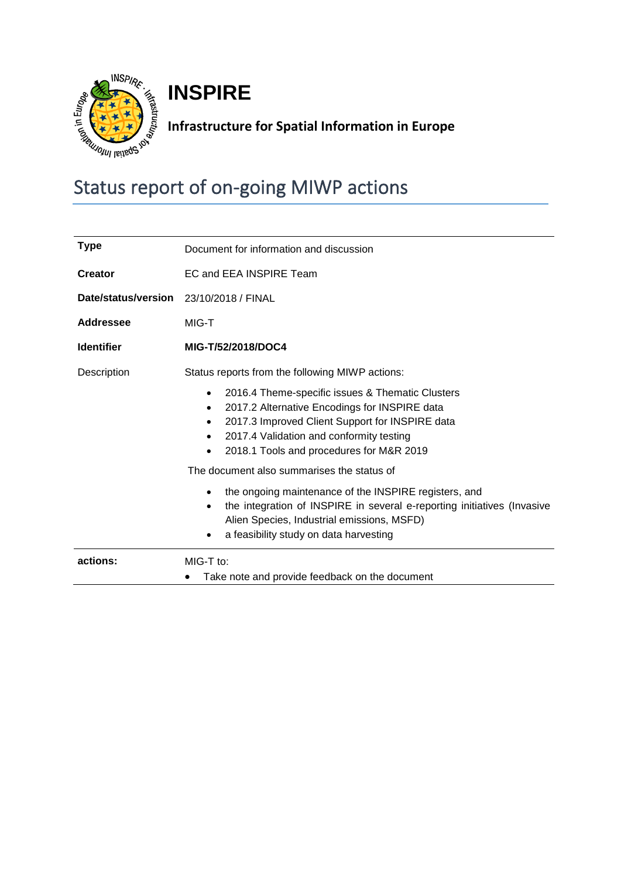

**INSPIRE**

## **Infrastructure for Spatial Information in Europe**

# Status report of on-going MIWP actions

| <b>Type</b>                            | Document for information and discussion                                                                                                                                                                                                                                                  |  |  |
|----------------------------------------|------------------------------------------------------------------------------------------------------------------------------------------------------------------------------------------------------------------------------------------------------------------------------------------|--|--|
| <b>Creator</b>                         | EC and EEA INSPIRE Team                                                                                                                                                                                                                                                                  |  |  |
| Date/status/version 23/10/2018 / FINAL |                                                                                                                                                                                                                                                                                          |  |  |
| <b>Addressee</b>                       | MIG-T                                                                                                                                                                                                                                                                                    |  |  |
| <b>Identifier</b>                      | MIG-T/52/2018/DOC4                                                                                                                                                                                                                                                                       |  |  |
| Description                            | Status reports from the following MIWP actions:                                                                                                                                                                                                                                          |  |  |
|                                        | 2016.4 Theme-specific issues & Thematic Clusters<br>$\bullet$<br>2017.2 Alternative Encodings for INSPIRE data<br>$\bullet$<br>2017.3 Improved Client Support for INSPIRE data<br>$\bullet$<br>2017.4 Validation and conformity testing<br>٠<br>2018.1 Tools and procedures for M&R 2019 |  |  |
|                                        | The document also summarises the status of                                                                                                                                                                                                                                               |  |  |
|                                        | the ongoing maintenance of the INSPIRE registers, and<br>the integration of INSPIRE in several e-reporting initiatives (Invasive<br>٠<br>Alien Species, Industrial emissions, MSFD)<br>a feasibility study on data harvesting                                                            |  |  |
| actions:                               | $MIG-T$ to:<br>Take note and provide feedback on the document                                                                                                                                                                                                                            |  |  |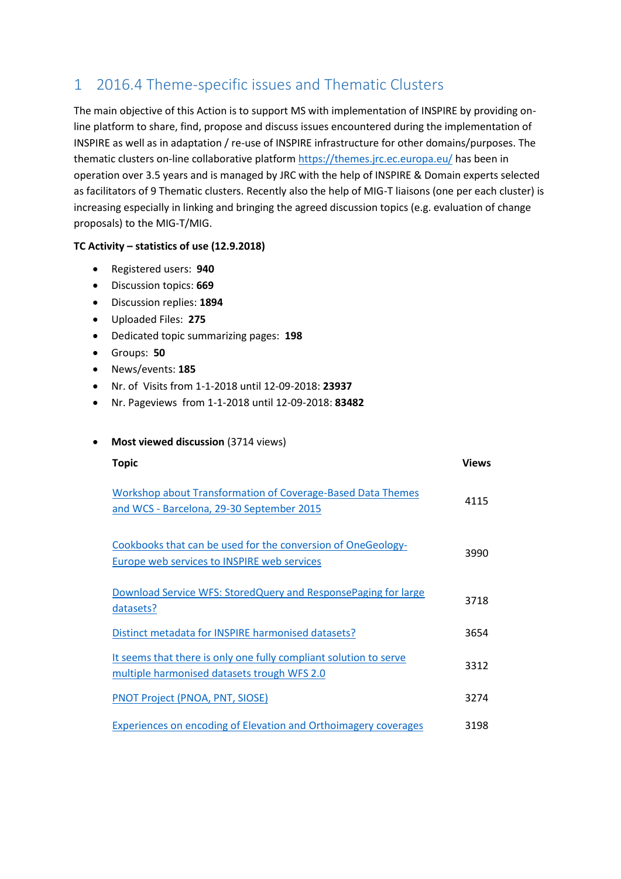### 1 2016.4 Theme-specific issues and Thematic Clusters

The main objective of this Action is to support MS with implementation of INSPIRE by providing online platform to share, find, propose and discuss issues encountered during the implementation of INSPIRE as well as in adaptation / re-use of INSPIRE infrastructure for other domains/purposes. The thematic clusters on-line collaborative platform<https://themes.jrc.ec.europa.eu/> has been in operation over 3.5 years and is managed by JRC with the help of INSPIRE & Domain experts selected as facilitators of 9 Thematic clusters. Recently also the help of MIG-T liaisons (one per each cluster) is increasing especially in linking and bringing the agreed discussion topics (e.g. evaluation of change proposals) to the MIG-T/MIG.

#### **TC Activity – statistics of use (12.9.2018)**

- Registered users: **940**
- Discussion topics: **669**
- Discussion replies: **1894**
- Uploaded Files: **275**
- Dedicated topic summarizing pages: **198**
- Groups: **50**
- News/events: **185**
- Nr. of Visits from 1-1-2018 until 12-09-2018: **23937**
- Nr. Pageviews from 1-1-2018 until 12-09-2018: **83482**
- **•** Most viewed discussion (3714 views)

| <b>Topic</b>                                                                                                     | <b>Views</b> |
|------------------------------------------------------------------------------------------------------------------|--------------|
| Workshop about Transformation of Coverage-Based Data Themes<br>and WCS - Barcelona, 29-30 September 2015         | 4115         |
| Cookbooks that can be used for the conversion of OneGeology-<br>Europe web services to INSPIRE web services      | 3990         |
| Download Service WFS: StoredQuery and ResponsePaging for large<br>datasets?                                      | 3718         |
| Distinct metadata for INSPIRE harmonised datasets?                                                               | 3654         |
| It seems that there is only one fully compliant solution to serve<br>multiple harmonised datasets trough WFS 2.0 | 3312         |
| <b>PNOT Project (PNOA, PNT, SIOSE)</b>                                                                           | 3274         |
| Experiences on encoding of Elevation and Orthoimagery coverages                                                  | 3198         |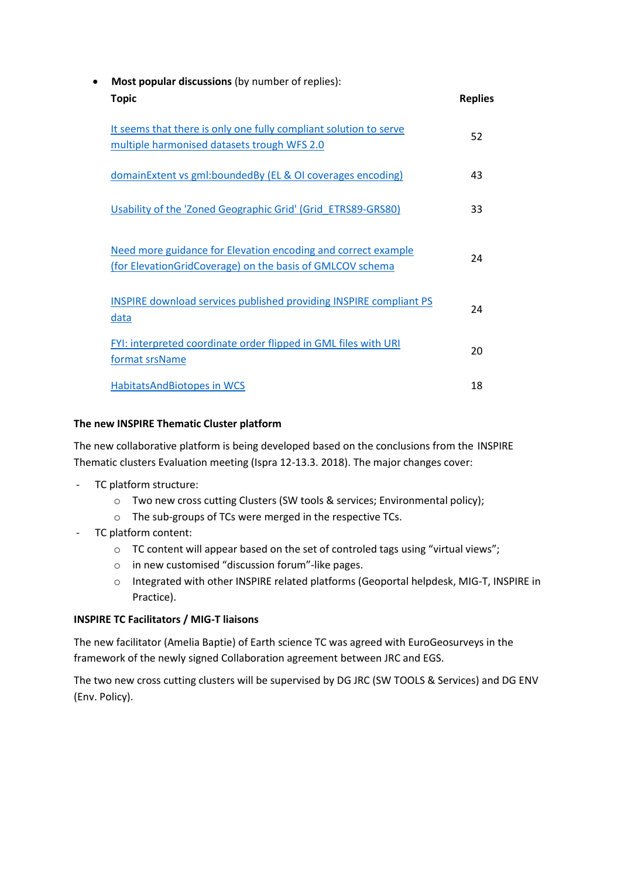| $\bullet$ | Most popular discussions (by number of replies):                                                                           |                |
|-----------|----------------------------------------------------------------------------------------------------------------------------|----------------|
|           | <b>Topic</b>                                                                                                               | <b>Replies</b> |
|           | It seems that there is only one fully compliant solution to serve<br>multiple harmonised datasets trough WFS 2.0           | 52             |
|           | domainExtent vs gml:boundedBy (EL & OI coverages encoding)                                                                 | 43             |
|           | Usability of the 'Zoned Geographic Grid' (Grid ETRS89-GRS80)                                                               | 33             |
|           | Need more guidance for Elevation encoding and correct example<br>(for ElevationGridCoverage) on the basis of GMLCOV schema | 24             |
|           | <b>INSPIRE download services published providing INSPIRE compliant PS</b><br>data                                          | 24             |
|           | FYI: interpreted coordinate order flipped in GML files with URI<br>format srsName                                          | 20             |
|           | <b>HabitatsAndBiotopes in WCS</b>                                                                                          | 18             |

#### **The new INSPIRE Thematic Cluster platform**

The new collaborative platform is being developed based on the conclusions from the INSPIRE Thematic clusters Evaluation meeting (Ispra 12-13.3. 2018). The major changes cover:

- TC platform structure:
	- o Two new cross cutting Clusters (SW tools & services; Environmental policy);
	- o The sub-groups of TCs were merged in the respective TCs.
- TC platform content:
	- o TC content will appear based on the set of controled tags using "virtual views";
	- o in new customised "discussion forum"-like pages.
	- o Integrated with other INSPIRE related platforms (Geoportal helpdesk, MIG-T, INSPIRE in Practice).

#### **INSPIRE TC Facilitators / MIG-T liaisons**

The new facilitator (Amelia Baptie) of Earth science TC was agreed with EuroGeosurveys in the framework of the newly signed Collaboration agreement between JRC and EGS.

The two new cross cutting clusters will be supervised by DG JRC (SW TOOLS & Services) and DG ENV (Env. Policy).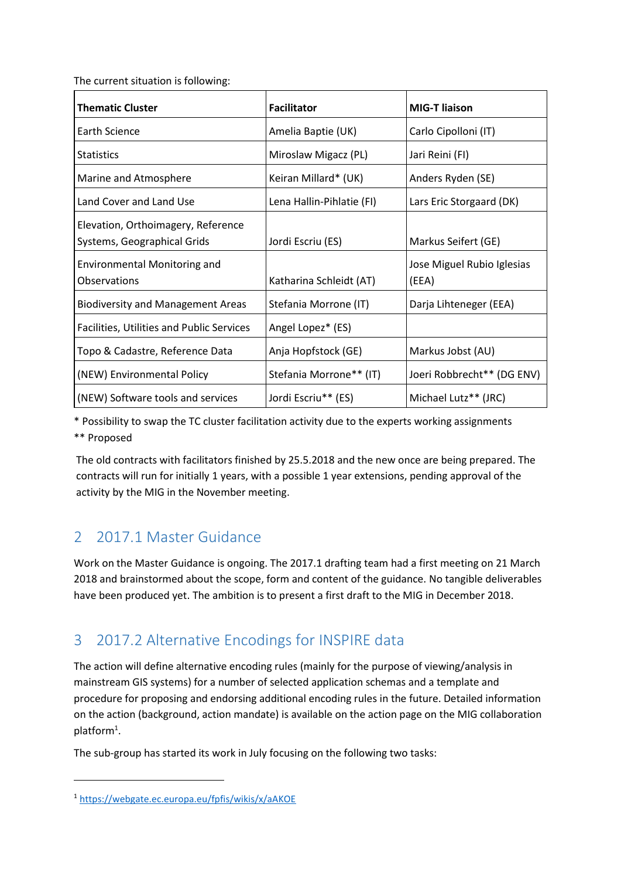The current situation is following:

| <b>Thematic Cluster</b>                                           | <b>Facilitator</b>        | <b>MIG-T liaison</b>                |
|-------------------------------------------------------------------|---------------------------|-------------------------------------|
| Earth Science                                                     | Amelia Baptie (UK)        | Carlo Cipolloni (IT)                |
| Statistics                                                        | Miroslaw Migacz (PL)      | Jari Reini (FI)                     |
| Marine and Atmosphere                                             | Keiran Millard* (UK)      | Anders Ryden (SE)                   |
| Land Cover and Land Use                                           | Lena Hallin-Pihlatie (FI) | Lars Eric Storgaard (DK)            |
| Elevation, Orthoimagery, Reference<br>Systems, Geographical Grids | Jordi Escriu (ES)         | Markus Seifert (GE)                 |
| <b>Environmental Monitoring and</b><br><b>Observations</b>        | Katharina Schleidt (AT)   | Jose Miguel Rubio Iglesias<br>(EEA) |
| <b>Biodiversity and Management Areas</b>                          | Stefania Morrone (IT)     | Darja Lihteneger (EEA)              |
| <b>Facilities, Utilities and Public Services</b>                  | Angel Lopez* (ES)         |                                     |
| Topo & Cadastre, Reference Data                                   | Anja Hopfstock (GE)       | Markus Jobst (AU)                   |
| (NEW) Environmental Policy                                        | Stefania Morrone** (IT)   | Joeri Robbrecht** (DG ENV)          |
| (NEW) Software tools and services                                 | Jordi Escriu** (ES)       | Michael Lutz** (JRC)                |

\* Possibility to swap the TC cluster facilitation activity due to the experts working assignments \*\* Proposed

The old contracts with facilitators finished by 25.5.2018 and the new once are being prepared. The contracts will run for initially 1 years, with a possible 1 year extensions, pending approval of the activity by the MIG in the November meeting.

### 2 2017.1 Master Guidance

Work on the Master Guidance is ongoing. The 2017.1 drafting team had a first meeting on 21 March 2018 and brainstormed about the scope, form and content of the guidance. No tangible deliverables have been produced yet. The ambition is to present a first draft to the MIG in December 2018.

### 3 2017.2 Alternative Encodings for INSPIRE data

The action will define alternative encoding rules (mainly for the purpose of viewing/analysis in mainstream GIS systems) for a number of selected application schemas and a template and procedure for proposing and endorsing additional encoding rules in the future. Detailed information on the action (background, action mandate) is available on the action page on the MIG collaboration platform<sup>1</sup>.

The sub-group has started its work in July focusing on the following two tasks:

**.** 

<sup>1</sup> <https://webgate.ec.europa.eu/fpfis/wikis/x/aAKOE>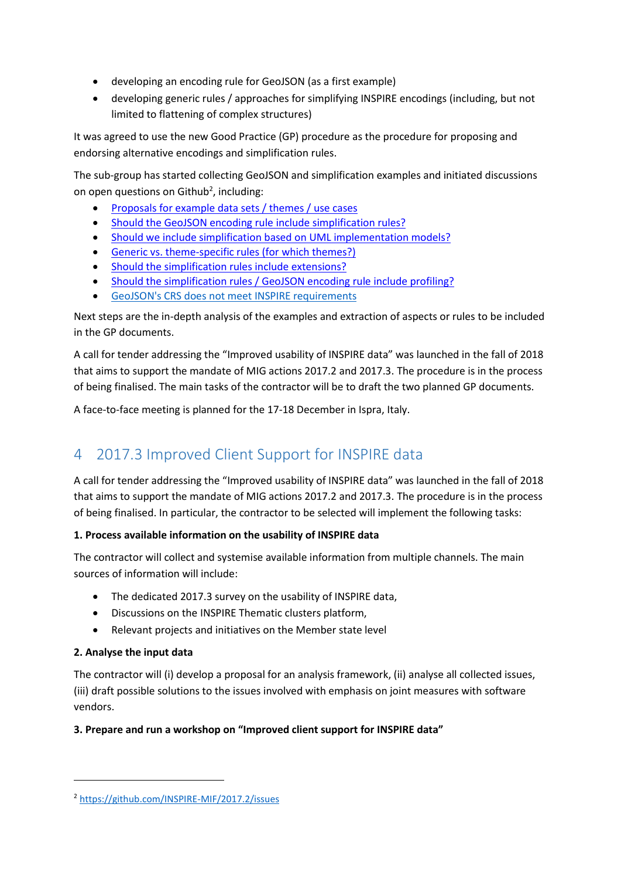- developing an encoding rule for GeoJSON (as a first example)
- developing generic rules / approaches for simplifying INSPIRE encodings (including, but not limited to flattening of complex structures)

It was agreed to use the new Good Practice (GP) procedure as the procedure for proposing and endorsing alternative encodings and simplification rules.

The sub-group has started collecting GeoJSON and simplification examples and initiated discussions on open questions on Github<sup>2</sup>, including:

- [Proposals for example data sets / themes / use cases](https://github.com/INSPIRE-MIF/2017.2/issues/31)
- [Should the GeoJSON encoding rule include simplification rules?](https://github.com/INSPIRE-MIF/2017.2/issues/27)
- [Should we include simplification based on UML implementation models?](https://github.com/INSPIRE-MIF/2017.2/issues/26)
- [Generic vs. theme-specific rules \(for which themes?\)](https://github.com/INSPIRE-MIF/2017.2/issues/25)
- [Should the simplification rules include extensions?](https://github.com/INSPIRE-MIF/2017.2/issues/24)
- [Should the simplification rules / GeoJSON encoding rule include profiling?](https://github.com/INSPIRE-MIF/2017.2/issues/23)
- [GeoJSON's CRS does not meet INSPIRE requirements](https://github.com/INSPIRE-MIF/2017.2/issues/9)

Next steps are the in-depth analysis of the examples and extraction of aspects or rules to be included in the GP documents.

A call for tender addressing the "Improved usability of INSPIRE data" was launched in the fall of 2018 that aims to support the mandate of MIG actions 2017.2 and 2017.3. The procedure is in the process of being finalised. The main tasks of the contractor will be to draft the two planned GP documents.

A face-to-face meeting is planned for the 17-18 December in Ispra, Italy.

### 4 2017.3 Improved Client Support for INSPIRE data

A call for tender addressing the "Improved usability of INSPIRE data" was launched in the fall of 2018 that aims to support the mandate of MIG actions 2017.2 and 2017.3. The procedure is in the process of being finalised. In particular, the contractor to be selected will implement the following tasks:

#### **1. Process available information on the usability of INSPIRE data**

The contractor will collect and systemise available information from multiple channels. The main sources of information will include:

- The dedicated 2017.3 survey on the usability of INSPIRE data,
- Discussions on the INSPIRE Thematic clusters platform,
- Relevant projects and initiatives on the Member state level

#### **2. Analyse the input data**

**.** 

The contractor will (i) develop a proposal for an analysis framework, (ii) analyse all collected issues, (iii) draft possible solutions to the issues involved with emphasis on joint measures with software vendors.

#### **3. Prepare and run a workshop on "Improved client support for INSPIRE data"**

<sup>2</sup> <https://github.com/INSPIRE-MIF/2017.2/issues>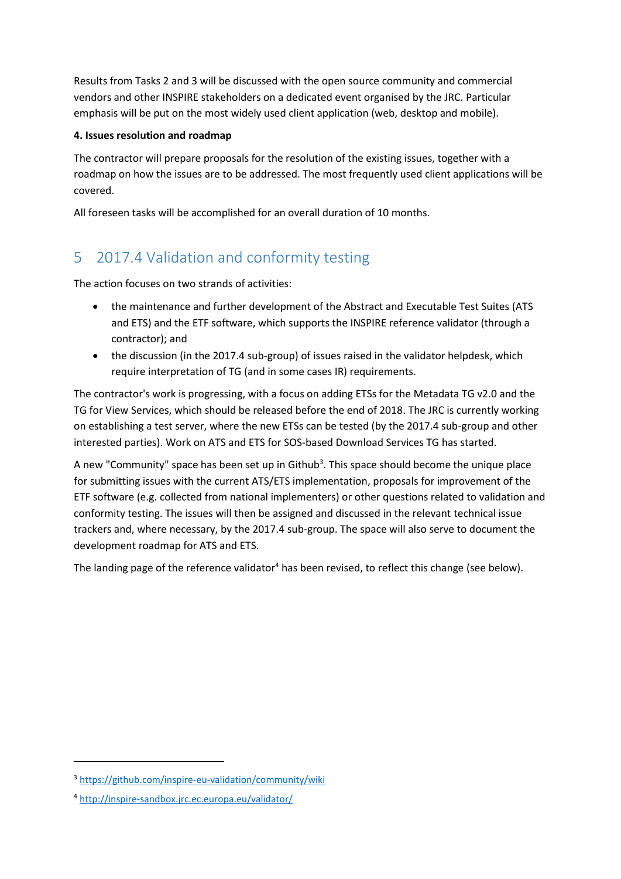Results from Tasks 2 and 3 will be discussed with the open source community and commercial vendors and other INSPIRE stakeholders on a dedicated event organised by the JRC. Particular emphasis will be put on the most widely used client application (web, desktop and mobile).

#### **4. Issues resolution and roadmap**

The contractor will prepare proposals for the resolution of the existing issues, together with a roadmap on how the issues are to be addressed. The most frequently used client applications will be covered.

All foreseen tasks will be accomplished for an overall duration of 10 months.

### 5 2017.4 Validation and conformity testing

The action focuses on two strands of activities:

- the maintenance and further development of the Abstract and Executable Test Suites (ATS and ETS) and the ETF software, which supports the INSPIRE reference validator (through a contractor); and
- the discussion (in the 2017.4 sub-group) of issues raised in the validator helpdesk, which require interpretation of TG (and in some cases IR) requirements.

The contractor's work is progressing, with a focus on adding ETSs for the Metadata TG v2.0 and the TG for View Services, which should be released before the end of 2018. The JRC is currently working on establishing a test server, where the new ETSs can be tested (by the 2017.4 sub-group and other interested parties). Work on ATS and ETS for SOS-based Download Services TG has started.

A new "Community" space has been set up in Github<sup>3</sup>. This space should become the unique place for submitting issues with the current ATS/ETS implementation, proposals for improvement of the ETF software (e.g. collected from national implementers) or other questions related to validation and conformity testing. The issues will then be assigned and discussed in the relevant technical issue trackers and, where necessary, by the 2017.4 sub-group. The space will also serve to document the development roadmap for ATS and ETS.

The landing page of the reference validator<sup>4</sup> has been revised, to reflect this change (see below).

1

<sup>3</sup> <https://github.com/inspire-eu-validation/community/wiki>

<sup>4</sup> <http://inspire-sandbox.jrc.ec.europa.eu/validator/>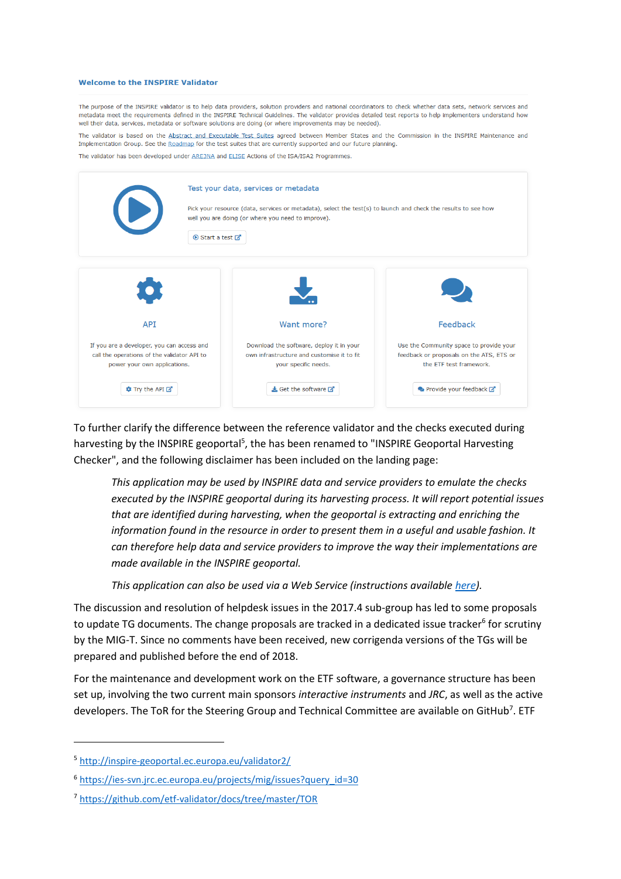#### **Welcome to the INSPIRE Validator**

The purpose of the INSPIRE validator is to help data providers, solution providers and national coordinators to check whether data sets, network services and metadata meet the requirements defined in the INSPIRE Technical Guidelines. The validator provides detailed test reports to help implementers understand how well their data, services, metadata or software solutions are doing (or where improvements may be needed).

The validator is based on the Abstract and Executable Test Suites agreed between Member States and the Commission in the INSPIRE Maintenance and Implementation Group. See the Roadmap for the test suites that are currently supported and our future planning.

The validator has been developed under **ARE3NA** and **ELISE** Actions of the ISA/ISA2 Programmes.

|                                                                                                                           | Test your data, services or metadata<br>Pick your resource (data, services or metadata), select the test(s) to launch and check the results to see how<br>well you are doing (or where you need to improve).<br><b>O</b> Start a test <b>Z</b> |                                                                                                                |  |  |
|---------------------------------------------------------------------------------------------------------------------------|------------------------------------------------------------------------------------------------------------------------------------------------------------------------------------------------------------------------------------------------|----------------------------------------------------------------------------------------------------------------|--|--|
| <b>API</b>                                                                                                                | Want more?                                                                                                                                                                                                                                     | Feedback                                                                                                       |  |  |
| If you are a developer, you can access and<br>call the operations of the validator API to<br>power your own applications. | Download the software, deploy it in your<br>own infrastructure and customise it to fit<br>your specific needs.                                                                                                                                 | Use the Community space to provide your<br>feedback or proposals on the ATS, ETS or<br>the FTF test framework. |  |  |
| <b>な</b> Try the API ■                                                                                                    | $\triangle$ Get the software $\Box$                                                                                                                                                                                                            | ● Provide your feedback ■                                                                                      |  |  |

To further clarify the difference between the reference validator and the checks executed during harvesting by the INSPIRE geoportal<sup>5</sup>, the has been renamed to "INSPIRE Geoportal Harvesting Checker", and the following disclaimer has been included on the landing page:

*This application may be used by INSPIRE data and service providers to emulate the checks executed by the INSPIRE geoportal during its harvesting process. It will report potential issues that are identified during harvesting, when the geoportal is extracting and enriching the information found in the resource in order to present them in a useful and usable fashion. It can therefore help data and service providers to improve the way their implementations are made available in the INSPIRE geoportal.* 

*This application can also be used via a Web Service (instructions available [here\)](http://inspire-geoportal.ec.europa.eu/validator2/html/usingaswebservice.html).*

The discussion and resolution of helpdesk issues in the 2017.4 sub-group has led to some proposals to update TG documents. The change proposals are tracked in a dedicated issue tracker<sup>6</sup> for scrutiny by the MIG-T. Since no comments have been received, new corrigenda versions of the TGs will be prepared and published before the end of 2018.

For the maintenance and development work on the ETF software, a governance structure has been set up, involving the two current main sponsors *interactive instruments* and *JRC*, as well as the active developers. The ToR for the Steering Group and Technical Committee are available on GitHub<sup>7</sup>. ETF

**.** 

<sup>5</sup> <http://inspire-geoportal.ec.europa.eu/validator2/>

<sup>6</sup> [https://ies-svn.jrc.ec.europa.eu/projects/mig/issues?query\\_id=30](https://ies-svn.jrc.ec.europa.eu/projects/mig/issues?query_id=30)

<sup>7</sup> <https://github.com/etf-validator/docs/tree/master/TOR>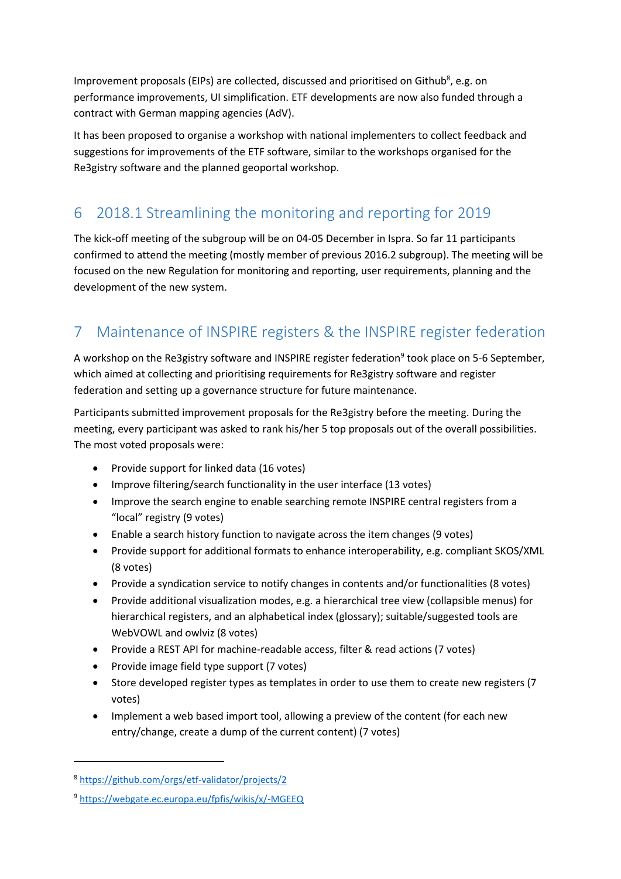Improvement proposals (EIPs) are collected, discussed and prioritised on Github<sup>8</sup>, e.g. on performance improvements, UI simplification. ETF developments are now also funded through a contract with German mapping agencies (AdV).

It has been proposed to organise a workshop with national implementers to collect feedback and suggestions for improvements of the ETF software, similar to the workshops organised for the Re3gistry software and the planned geoportal workshop.

### 6 2018.1 Streamlining the monitoring and reporting for 2019

The kick-off meeting of the subgroup will be on 04-05 December in Ispra. So far 11 participants confirmed to attend the meeting (mostly member of previous 2016.2 subgroup). The meeting will be focused on the new Regulation for monitoring and reporting, user requirements, planning and the development of the new system.

## 7 Maintenance of INSPIRE registers & the INSPIRE register federation

A workshop on the Re3gistry software and INSPIRE register federation<sup>9</sup> took place on 5-6 September, which aimed at collecting and prioritising requirements for Re3gistry software and register federation and setting up a governance structure for future maintenance.

Participants submitted improvement proposals for the Re3gistry before the meeting. During the meeting, every participant was asked to rank his/her 5 top proposals out of the overall possibilities. The most voted proposals were:

- Provide support for linked data (16 votes)
- Improve filtering/search functionality in the user interface (13 votes)
- Improve the search engine to enable searching remote INSPIRE central registers from a "local" registry (9 votes)
- Enable a search history function to navigate across the item changes (9 votes)
- Provide support for additional formats to enhance interoperability, e.g. compliant SKOS/XML (8 votes)
- Provide a syndication service to notify changes in contents and/or functionalities (8 votes)
- Provide additional visualization modes, e.g. a hierarchical tree view (collapsible menus) for hierarchical registers, and an alphabetical index (glossary); suitable/suggested tools are WebVOWL and owlviz (8 votes)
- Provide a REST API for machine-readable access, filter & read actions (7 votes)
- Provide image field type support (7 votes)
- Store developed register types as templates in order to use them to create new registers (7 votes)
- Implement a web based import tool, allowing a preview of the content (for each new entry/change, create a dump of the current content) (7 votes)

1

<sup>8</sup> <https://github.com/orgs/etf-validator/projects/2>

<sup>9</sup> <https://webgate.ec.europa.eu/fpfis/wikis/x/-MGEEQ>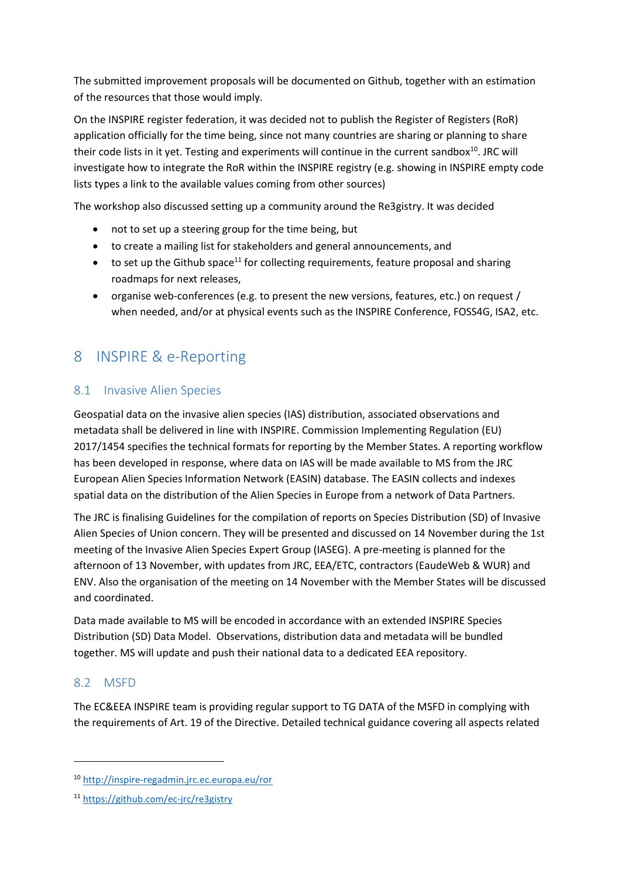The submitted improvement proposals will be documented on Github, together with an estimation of the resources that those would imply.

On the INSPIRE register federation, it was decided not to publish the Register of Registers (RoR) application officially for the time being, since not many countries are sharing or planning to share their code lists in it yet. Testing and experiments will continue in the current sandbox<sup>10</sup>. JRC will investigate how to integrate the RoR within the INSPIRE registry (e.g. showing in INSPIRE empty code lists types a link to the available values coming from other sources)

The workshop also discussed setting up a community around the Re3gistry. It was decided

- not to set up a steering group for the time being, but
- to create a mailing list for stakeholders and general announcements, and
- $\bullet$  to set up the Github space<sup>11</sup> for collecting requirements, feature proposal and sharing roadmaps for next releases,
- organise web-conferences (e.g. to present the new versions, features, etc.) on request / when needed, and/or at physical events such as the INSPIRE Conference, FOSS4G, ISA2, etc.

### 8 INSPIRE & e-Reporting

### 8.1 Invasive Alien Species

Geospatial data on the invasive alien species (IAS) distribution, associated observations and metadata shall be delivered in line with INSPIRE. Commission Implementing Regulation (EU) 2017/1454 specifies the technical formats for reporting by the Member States. A reporting workflow has been developed in response, where data on IAS will be made available to MS from the JRC European Alien Species Information Network (EASIN) database. The EASIN collects and indexes spatial data on the distribution of the Alien Species in Europe from a network of Data Partners.

The JRC is finalising Guidelines for the compilation of reports on Species Distribution (SD) of Invasive Alien Species of Union concern. They will be presented and discussed on 14 November during the 1st meeting of the Invasive Alien Species Expert Group (IASEG). A pre-meeting is planned for the afternoon of 13 November, with updates from JRC, EEA/ETC, contractors (EaudeWeb & WUR) and ENV. Also the organisation of the meeting on 14 November with the Member States will be discussed and coordinated.

Data made available to MS will be encoded in accordance with an extended INSPIRE Species Distribution (SD) Data Model. Observations, distribution data and metadata will be bundled together. MS will update and push their national data to a dedicated EEA repository.

### 8.2 MSFD

1

The EC&EEA INSPIRE team is providing regular support to TG DATA of the MSFD in complying with the requirements of Art. 19 of the Directive. Detailed technical guidance covering all aspects related

<sup>10</sup> <http://inspire-regadmin.jrc.ec.europa.eu/ror>

<sup>11</sup> <https://github.com/ec-jrc/re3gistry>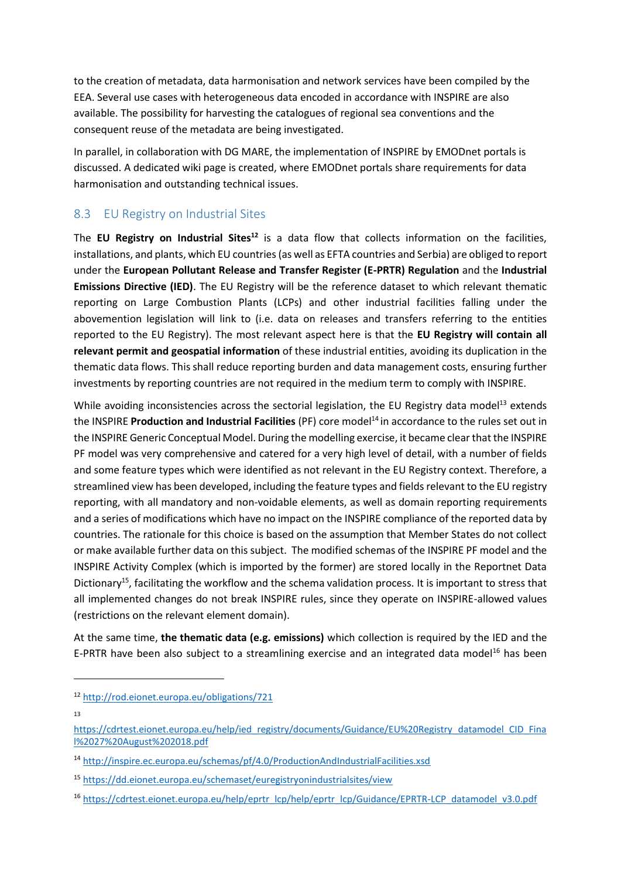to the creation of metadata, data harmonisation and network services have been compiled by the EEA. Several use cases with heterogeneous data encoded in accordance with INSPIRE are also available. The possibility for harvesting the catalogues of regional sea conventions and the consequent reuse of the metadata are being investigated.

In parallel, in collaboration with DG MARE, the implementation of INSPIRE by EMODnet portals is discussed. A dedicated wiki page is created, where EMODnet portals share requirements for data harmonisation and outstanding technical issues.

### 8.3 EU Registry on Industrial Sites

The **EU Registry on Industrial Sites<sup>12</sup>** is a data flow that collects information on the facilities, installations, and plants, which EU countries (as well as EFTA countries and Serbia) are obliged to report under the **European Pollutant Release and Transfer Register (E-PRTR) Regulation** and the **Industrial Emissions Directive (IED)**. The EU Registry will be the reference dataset to which relevant thematic reporting on Large Combustion Plants (LCPs) and other industrial facilities falling under the abovemention legislation will link to (i.e. data on releases and transfers referring to the entities reported to the EU Registry). The most relevant aspect here is that the **EU Registry will contain all relevant permit and geospatial information** of these industrial entities, avoiding its duplication in the thematic data flows. This shall reduce reporting burden and data management costs, ensuring further investments by reporting countries are not required in the medium term to comply with INSPIRE.

While avoiding inconsistencies across the sectorial legislation, the EU Registry data model<sup>13</sup> extends the INSPIRE **Production and Industrial Facilities** (PF) core model<sup>14</sup> in accordance to the rules set out in the INSPIRE Generic Conceptual Model. During the modelling exercise, it became clear that the INSPIRE PF model was very comprehensive and catered for a very high level of detail, with a number of fields and some feature types which were identified as not relevant in the EU Registry context. Therefore, a streamlined view has been developed, including the feature types and fields relevant to the EU registry reporting, with all mandatory and non-voidable elements, as well as domain reporting requirements and a series of modifications which have no impact on the INSPIRE compliance of the reported data by countries. The rationale for this choice is based on the assumption that Member States do not collect or make available further data on this subject. The modified schemas of the INSPIRE PF model and the INSPIRE Activity Complex (which is imported by the former) are stored locally in the Reportnet Data Dictionary<sup>15</sup>, facilitating the workflow and the schema validation process. It is important to stress that all implemented changes do not break INSPIRE rules, since they operate on INSPIRE-allowed values (restrictions on the relevant element domain).

At the same time, **the thematic data (e.g. emissions)** which collection is required by the IED and the E-PRTR have been also subject to a streamlining exercise and an integrated data model<sup>16</sup> has been

1

<sup>12</sup> <http://rod.eionet.europa.eu/obligations/721>

<sup>13</sup>

[https://cdrtest.eionet.europa.eu/help/ied\\_registry/documents/Guidance/EU%20Registry\\_datamodel\\_CID\\_Fina](https://cdrtest.eionet.europa.eu/help/ied_registry/documents/Guidance/EU%20Registry_datamodel_CID_Final%2027%20August%202018.pdf) [l%2027%20August%202018.pdf](https://cdrtest.eionet.europa.eu/help/ied_registry/documents/Guidance/EU%20Registry_datamodel_CID_Final%2027%20August%202018.pdf)

<sup>14</sup> <http://inspire.ec.europa.eu/schemas/pf/4.0/ProductionAndIndustrialFacilities.xsd>

<sup>15</sup> <https://dd.eionet.europa.eu/schemaset/euregistryonindustrialsites/view>

<sup>16</sup> [https://cdrtest.eionet.europa.eu/help/eprtr\\_lcp/help/eprtr\\_lcp/Guidance/EPRTR-LCP\\_datamodel\\_v3.0.pdf](https://cdrtest.eionet.europa.eu/help/eprtr_lcp/help/eprtr_lcp/Guidance/EPRTR-LCP_datamodel_v3.0.pdf)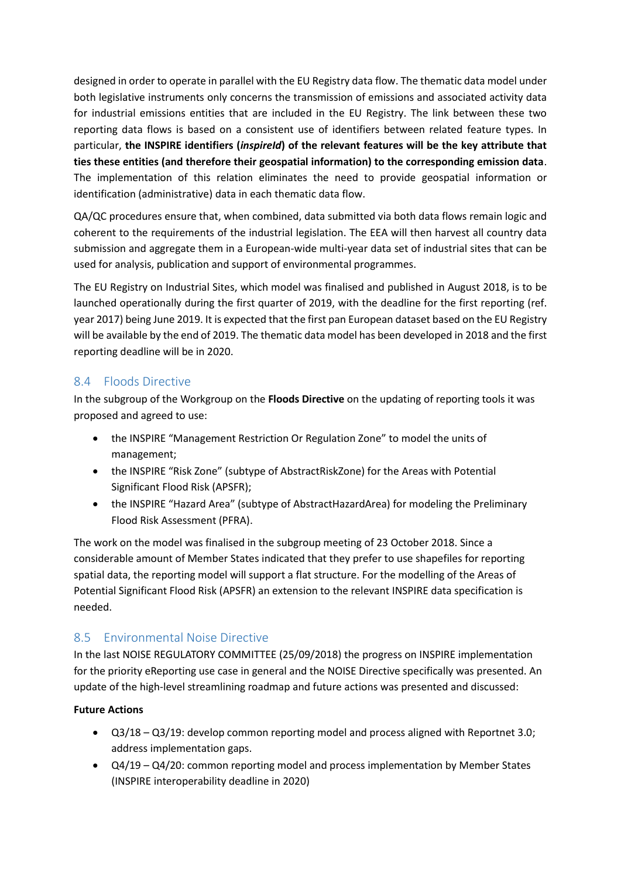designed in order to operate in parallel with the EU Registry data flow. The thematic data model under both legislative instruments only concerns the transmission of emissions and associated activity data for industrial emissions entities that are included in the EU Registry. The link between these two reporting data flows is based on a consistent use of identifiers between related feature types. In particular, **the INSPIRE identifiers (***inspireId***) of the relevant features will be the key attribute that ties these entities (and therefore their geospatial information) to the corresponding emission data**. The implementation of this relation eliminates the need to provide geospatial information or identification (administrative) data in each thematic data flow.

QA/QC procedures ensure that, when combined, data submitted via both data flows remain logic and coherent to the requirements of the industrial legislation. The EEA will then harvest all country data submission and aggregate them in a European-wide multi-year data set of industrial sites that can be used for analysis, publication and support of environmental programmes.

The EU Registry on Industrial Sites, which model was finalised and published in August 2018, is to be launched operationally during the first quarter of 2019, with the deadline for the first reporting (ref. year 2017) being June 2019. It is expected that the first pan European dataset based on the EU Registry will be available by the end of 2019. The thematic data model has been developed in 2018 and the first reporting deadline will be in 2020.

### 8.4 Floods Directive

In the subgroup of the Workgroup on the **Floods Directive** on the updating of reporting tools it was proposed and agreed to use:

- the INSPIRE "Management Restriction Or Regulation Zone" to model the units of management;
- the INSPIRE "Risk Zone" (subtype of AbstractRiskZone) for the Areas with Potential Significant Flood Risk (APSFR);
- the INSPIRE "Hazard Area" (subtype of AbstractHazardArea) for modeling the Preliminary Flood Risk Assessment (PFRA).

The work on the model was finalised in the subgroup meeting of 23 October 2018. Since a considerable amount of Member States indicated that they prefer to use shapefiles for reporting spatial data, the reporting model will support a flat structure. For the modelling of the Areas of Potential Significant Flood Risk (APSFR) an extension to the relevant INSPIRE data specification is needed.

### 8.5 Environmental Noise Directive

In the last NOISE REGULATORY COMMITTEE (25/09/2018) the progress on INSPIRE implementation for the priority eReporting use case in general and the NOISE Directive specifically was presented. An update of the high-level streamlining roadmap and future actions was presented and discussed:

#### **Future Actions**

- Q3/18 Q3/19: develop common reporting model and process aligned with Reportnet 3.0; address implementation gaps.
- Q4/19 Q4/20: common reporting model and process implementation by Member States (INSPIRE interoperability deadline in 2020)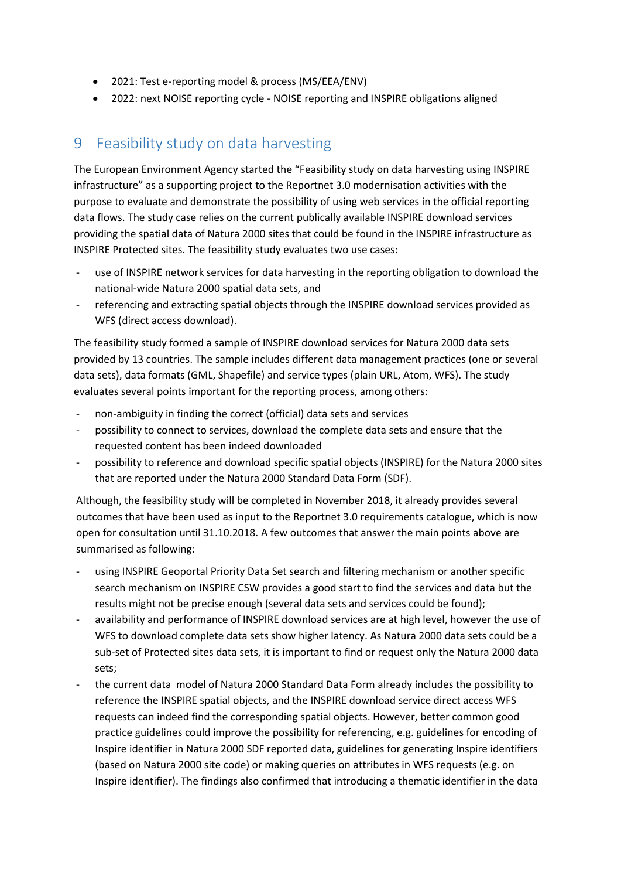- 2021: Test e-reporting model & process (MS/EEA/ENV)
- 2022: next NOISE reporting cycle NOISE reporting and INSPIRE obligations aligned

### 9 Feasibility study on data harvesting

The European Environment Agency started the "Feasibility study on data harvesting using INSPIRE infrastructure" as a supporting project to the Reportnet 3.0 modernisation activities with the purpose to evaluate and demonstrate the possibility of using web services in the official reporting data flows. The study case relies on the current publically available INSPIRE download services providing the spatial data of Natura 2000 sites that could be found in the INSPIRE infrastructure as INSPIRE Protected sites. The feasibility study evaluates two use cases:

- use of INSPIRE network services for data harvesting in the reporting obligation to download the national-wide Natura 2000 spatial data sets, and
- referencing and extracting spatial objects through the INSPIRE download services provided as WFS (direct access download).

The feasibility study formed a sample of INSPIRE download services for Natura 2000 data sets provided by 13 countries. The sample includes different data management practices (one or several data sets), data formats (GML, Shapefile) and service types (plain URL, Atom, WFS). The study evaluates several points important for the reporting process, among others:

- non-ambiguity in finding the correct (official) data sets and services
- possibility to connect to services, download the complete data sets and ensure that the requested content has been indeed downloaded
- possibility to reference and download specific spatial objects (INSPIRE) for the Natura 2000 sites that are reported under the Natura 2000 Standard Data Form (SDF).

Although, the feasibility study will be completed in November 2018, it already provides several outcomes that have been used as input to the Reportnet 3.0 requirements catalogue, which is now open for consultation until 31.10.2018. A few outcomes that answer the main points above are summarised as following:

- using INSPIRE Geoportal Priority Data Set search and filtering mechanism or another specific search mechanism on INSPIRE CSW provides a good start to find the services and data but the results might not be precise enough (several data sets and services could be found);
- availability and performance of INSPIRE download services are at high level, however the use of WFS to download complete data sets show higher latency. As Natura 2000 data sets could be a sub-set of Protected sites data sets, it is important to find or request only the Natura 2000 data sets;
- the current data model of Natura 2000 Standard Data Form already includes the possibility to reference the INSPIRE spatial objects, and the INSPIRE download service direct access WFS requests can indeed find the corresponding spatial objects. However, better common good practice guidelines could improve the possibility for referencing, e.g. guidelines for encoding of Inspire identifier in Natura 2000 SDF reported data, guidelines for generating Inspire identifiers (based on Natura 2000 site code) or making queries on attributes in WFS requests (e.g. on Inspire identifier). The findings also confirmed that introducing a thematic identifier in the data